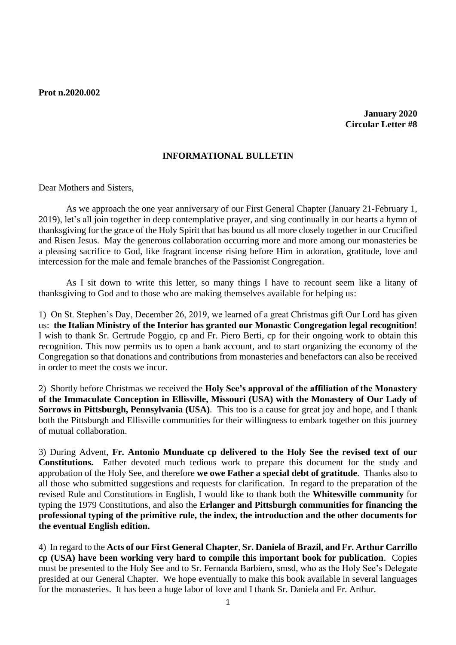**January 2020 Circular Letter #8**

## **INFORMATIONAL BULLETIN**

Dear Mothers and Sisters,

As we approach the one year anniversary of our First General Chapter (January 21-February 1, 2019), let's all join together in deep contemplative prayer, and sing continually in our hearts a hymn of thanksgiving for the grace of the Holy Spirit that has bound us all more closely together in our Crucified and Risen Jesus. May the generous collaboration occurring more and more among our monasteries be a pleasing sacrifice to God, like fragrant incense rising before Him in adoration, gratitude, love and intercession for the male and female branches of the Passionist Congregation.

As I sit down to write this letter, so many things I have to recount seem like a litany of thanksgiving to God and to those who are making themselves available for helping us:

1) On St. Stephen's Day, December 26, 2019, we learned of a great Christmas gift Our Lord has given us: **the Italian Ministry of the Interior has granted our Monastic Congregation legal recognition**! I wish to thank Sr. Gertrude Poggio, cp and Fr. Piero Berti, cp for their ongoing work to obtain this recognition. This now permits us to open a bank account, and to start organizing the economy of the Congregation so that donations and contributions from monasteries and benefactors can also be received in order to meet the costs we incur.

2) Shortly before Christmas we received the **Holy See's approval of the affiliation of the Monastery of the Immaculate Conception in Ellisville, Missouri (USA) with the Monastery of Our Lady of Sorrows in Pittsburgh, Pennsylvania (USA)**. This too is a cause for great joy and hope, and I thank both the Pittsburgh and Ellisville communities for their willingness to embark together on this journey of mutual collaboration.

3) During Advent, **Fr. Antonio Munduate cp delivered to the Holy See the revised text of our Constitutions.** Father devoted much tedious work to prepare this document for the study and approbation of the Holy See, and therefore **we owe Father a special debt of gratitude**. Thanks also to all those who submitted suggestions and requests for clarification. In regard to the preparation of the revised Rule and Constitutions in English, I would like to thank both the **Whitesville community** for typing the 1979 Constitutions, and also the **Erlanger and Pittsburgh communities for financing the professional typing of the primitive rule, the index, the introduction and the other documents for the eventual English edition.** 

4) In regard to the **Acts of our First General Chapter**, **Sr. Daniela of Brazil, and Fr. Arthur Carrillo cp (USA) have been working very hard to compile this important book for publication**. Copies must be presented to the Holy See and to Sr. Fernanda Barbiero, smsd, who as the Holy See's Delegate presided at our General Chapter. We hope eventually to make this book available in several languages for the monasteries. It has been a huge labor of love and I thank Sr. Daniela and Fr. Arthur.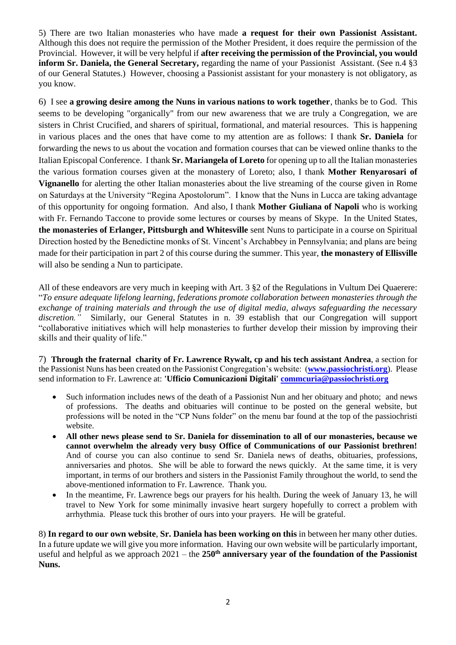5) There are two Italian monasteries who have made **a request for their own Passionist Assistant.** Although this does not require the permission of the Mother President, it does require the permission of the Provincial. However, it will be very helpful if **after receiving the permission of the Provincial, you would inform Sr. Daniela, the General Secretary, regarding the name of your Passionist Assistant. (See n.4 §3)** of our General Statutes.) However, choosing a Passionist assistant for your monastery is not obligatory, as you know.

6) I see **a growing desire among the Nuns in various nations to work together**, thanks be to God. This seems to be developing "organically" from our new awareness that we are truly a Congregation, we are sisters in Christ Crucified, and sharers of spiritual, formational, and material resources. This is happening in various places and the ones that have come to my attention are as follows: I thank **Sr. Daniela** for forwarding the news to us about the vocation and formation courses that can be viewed online thanks to the Italian Episcopal Conference. I thank **Sr. Mariangela of Loreto** for opening up to all the Italian monasteries the various formation courses given at the monastery of Loreto; also, I thank **Mother Renyarosari of Vignanello** for alerting the other Italian monasteries about the live streaming of the course given in Rome on Saturdays at the University "Regina Apostolorum". I know that the Nuns in Lucca are taking advantage of this opportunity for ongoing formation. And also, I thank **Mother Giuliana of Napoli** who is working with Fr. Fernando Taccone to provide some lectures or courses by means of Skype. In the United States, **the monasteries of Erlanger, Pittsburgh and Whitesville** sent Nuns to participate in a course on Spiritual Direction hosted by the Benedictine monks of St. Vincent's Archabbey in Pennsylvania; and plans are being made for their participation in part 2 of this course during the summer. This year, **the monastery of Ellisville** will also be sending a Nun to participate.

All of these endeavors are very much in keeping with Art. 3 §2 of the Regulations in Vultum Dei Quaerere: "*To ensure adequate lifelong learning, federations promote collaboration between monasteries through the exchange of training materials and through the use of digital media, always safeguarding the necessary discretion."* Similarly, our General Statutes in n. 39 establish that our Congregation will support "collaborative initiatives which will help monasteries to further develop their mission by improving their skills and their quality of life."

7) **Through the fraternal charity of Fr. Lawrence Rywalt, cp and his tech assistant Andrea**, a section for the Passionist Nuns has been created on the Passionist Congregation's website: (**[www.passiochristi.org](http://www.passiochristi.org/)**). Please send information to Fr. Lawrence at: **'Ufficio Comunicazioni Digitali' [commcuria@passiochristi.org](mailto:commcuria@passiochristi.org)**

- Such information includes news of the death of a Passionist Nun and her obituary and photo; and news of professions. The deaths and obituaries will continue to be posted on the general website, but professions will be noted in the "CP Nuns folder" on the menu bar found at the top of the passiochristi website.
- **All other news please send to Sr. Daniela for dissemination to all of our monasteries, because we cannot overwhelm the already very busy Office of Communications of our Passionist brethren!**  And of course you can also continue to send Sr. Daniela news of deaths, obituaries, professions, anniversaries and photos. She will be able to forward the news quickly. At the same time, it is very important, in terms of our brothers and sisters in the Passionist Family throughout the world, to send the above-mentioned information to Fr. Lawrence. Thank you.
- In the meantime, Fr. Lawrence begs our prayers for his health. During the week of January 13, he will travel to New York for some minimally invasive heart surgery hopefully to correct a problem with arrhythmia. Please tuck this brother of ours into your prayers. He will be grateful.

8) **In regard to our own website**, **Sr. Daniela has been working on this** in between her many other duties. In a future update we will give you more information. Having our own website will be particularly important, useful and helpful as we approach 2021 – the **250th anniversary year of the foundation of the Passionist Nuns.**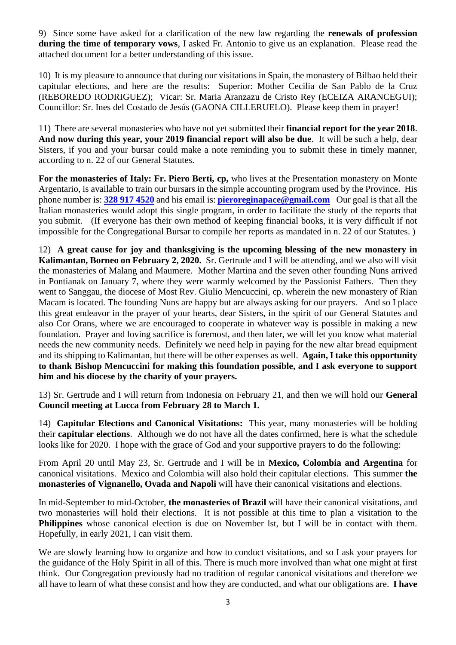9) Since some have asked for a clarification of the new law regarding the **renewals of profession during the time of temporary vows**, I asked Fr. Antonio to give us an explanation. Please read the attached document for a better understanding of this issue.

10) It is my pleasure to announce that during our visitations in Spain, the monastery of Bilbao held their capitular elections, and here are the results: Superior: Mother Cecilia de San Pablo de la Cruz (REBOREDO RODRIGUEZ); Vicar: Sr. Maria Aranzazu de Cristo Rey (ECEIZA ARANCEGUI); Councillor: Sr. Ines del Costado de Jesús (GAONA CILLERUELO). Please keep them in prayer!

11) There are several monasteries who have not yet submitted their **financial report for the year 2018**. **And now during this year, your 2019 financial report will also be due**. It will be such a help, dear Sisters, if you and your bursar could make a note reminding you to submit these in timely manner, according to n. 22 of our General Statutes.

**For the monasteries of Italy: Fr. Piero Berti, cp,** who lives at the Presentation monastery on Monte Argentario, is available to train our bursars in the simple accounting program used by the Province. His phone number is: **[328 917 4520](mailto:328%20917%204520)** and his email is: **[pieroreginapace@gmail.com](mailto:pieroreginapace@gmail.com)** Our goal is that all the Italian monasteries would adopt this single program, in order to facilitate the study of the reports that you submit. (If everyone has their own method of keeping financial books, it is very difficult if not impossible for the Congregational Bursar to compile her reports as mandated in n. 22 of our Statutes. )

12) **A great cause for joy and thanksgiving is the upcoming blessing of the new monastery in Kalimantan, Borneo on February 2, 2020.** Sr. Gertrude and I will be attending, and we also will visit the monasteries of Malang and Maumere. Mother Martina and the seven other founding Nuns arrived in Pontianak on January 7, where they were warmly welcomed by the Passionist Fathers. Then they went to Sanggau, the diocese of Most Rev. Giulio Mencuccini, cp. wherein the new monastery of Rian Macam is located. The founding Nuns are happy but are always asking for our prayers. And so I place this great endeavor in the prayer of your hearts, dear Sisters, in the spirit of our General Statutes and also Cor Orans, where we are encouraged to cooperate in whatever way is possible in making a new foundation. Prayer and loving sacrifice is foremost, and then later, we will let you know what material needs the new community needs. Definitely we need help in paying for the new altar bread equipment and its shipping to Kalimantan, but there will be other expenses as well. **Again, I take this opportunity to thank Bishop Mencuccini for making this foundation possible, and I ask everyone to support him and his diocese by the charity of your prayers.** 

13) Sr. Gertrude and I will return from Indonesia on February 21, and then we will hold our **General Council meeting at Lucca from February 28 to March 1.** 

14) **Capitular Elections and Canonical Visitations:** This year, many monasteries will be holding their **capitular elections**. Although we do not have all the dates confirmed, here is what the schedule looks like for 2020. I hope with the grace of God and your supportive prayers to do the following:

From April 20 until May 23, Sr. Gertrude and I will be in **Mexico, Colombia and Argentina** for canonical visitations. Mexico and Colombia will also hold their capitular elections. This summer **the monasteries of Vignanello, Ovada and Napoli** will have their canonical visitations and elections.

In mid-September to mid-October, **the monasteries of Brazil** will have their canonical visitations, and two monasteries will hold their elections. It is not possible at this time to plan a visitation to the **Philippines** whose canonical election is due on November lst, but I will be in contact with them. Hopefully, in early 2021, I can visit them.

We are slowly learning how to organize and how to conduct visitations, and so I ask your prayers for the guidance of the Holy Spirit in all of this. There is much more involved than what one might at first think. Our Congregation previously had no tradition of regular canonical visitations and therefore we all have to learn of what these consist and how they are conducted, and what our obligations are. **I have**